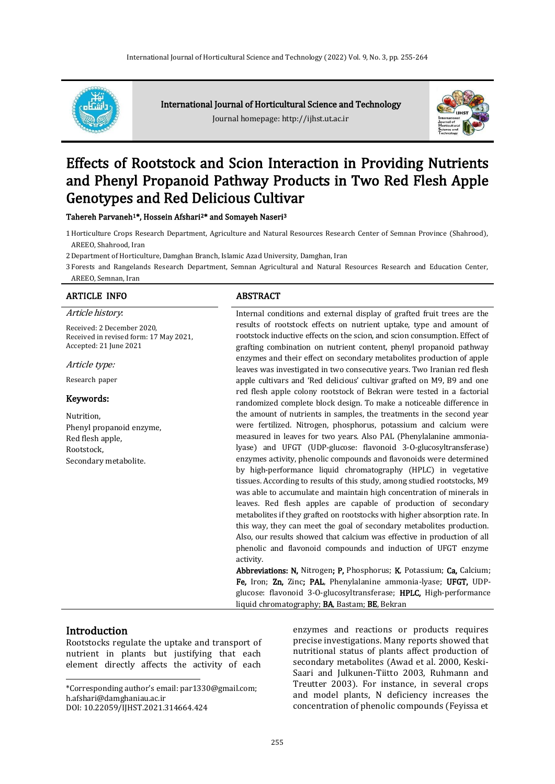

International Journal of Horticultural Science and Technology

Journal homepage: http://ijhst.ut.ac.ir



# Effects of Rootstock and Scion Interaction in Providing Nutrients and Phenyl Propanoid Pathway Products in Two Red Flesh Apple Genotypes and Red Delicious Cultivar

Tahereh Parvaneh<sup>1\*</sup>, Hossein Afshari<sup>2\*</sup> and Somayeh Naseri<sup>3</sup>

- 1Horticulture Crops Research Department, Agriculture and Natural Resources Research Center of Semnan Province (Shahrood), AREEO, Shahrood, Iran
- 2Department of Horticulture, Damghan Branch, Islamic Azad University, Damghan, Iran

3 Forests and Rangelands Research Department, Semnan Agricultural and Natural Resources Research and Education Center, AREEO, Semnan, Iran

#### ARTICLE INFO ABSTRACT

Article history:

Received: 2 December 2020, Received in revised form: 17 May 2021, Accepted: 21 June 2021

Article type:

Research paper

#### Keywords:

Nutrition, Phenyl propanoid enzyme, Red flesh apple, Rootstock, Secondary metabolite.

Internal conditions and external display of grafted fruit trees are the results of rootstock effects on nutrient uptake, type and amount of rootstock inductive effects on the scion, and scion consumption. Effect of grafting combination on nutrient content, phenyl propanoid pathway enzymes and their effect on secondary metabolites production of apple leaves was investigated in two consecutive years. Two Iranian red flesh apple cultivars and 'Red delicious' cultivar grafted on M9, B9 and one red flesh apple colony rootstock of Bekran were tested in a factorial randomized complete block design. To make a noticeable difference in the amount of nutrients in samples, the treatments in the second year were fertilized. Nitrogen, phosphorus, potassium and calcium were measured in leaves for two years. Also PAL (Phenylalanine ammonialyase) and UFGT (UDP-glucose: flavonoid 3-O-glucosyltransferase) enzymes activity, phenolic compounds and flavonoids were determined by high-performance liquid chromatography (HPLC) in vegetative tissues. According to results of this study, among studied rootstocks, M9 was able to accumulate and maintain high concentration of minerals in leaves. Red flesh apples are capable of production of secondary metabolites if they grafted on rootstocks with higher absorption rate. In this way, they can meet the goal of secondary metabolites production. Also, our results showed that calcium was effective in production of all phenolic and flavonoid compounds and induction of UFGT enzyme activity.

Abbreviations: N, Nitrogen; P, Phosphorus; K, Potassium; Ca, Calcium; Fe, Iron; Zn, Zinc; PAL, Phenylalanine ammonia-lyase; UFGT, UDPglucose: flavonoid 3-O-glucosyltransferase; HPLC, High-performance liquid chromatography: **BA**, Bastam: **BE**, Bekran

# **Introduction**

 $\overline{a}$ 

Rootstocks regulate the uptake and transport of nutrient in plants but justifying that each element directly affects the activity of each

\*Corresponding author's email: par1330@gmail.com; h.afshari@damghaniau.ac.ir DOI: 10.22059/IJHST.2021.314664.424

enzymes and reactions or products requires precise investigations. Many reports showed that nutritional status of plants affect production of secondary metabolites (Awad et al. 2000, Keski-Saari and Julkunen-Tiitto 2003, Ruhmann and Treutter 2003). For instance, in several crops and model plants, N deficiency increases the concentration of phenolic compounds (Feyissa et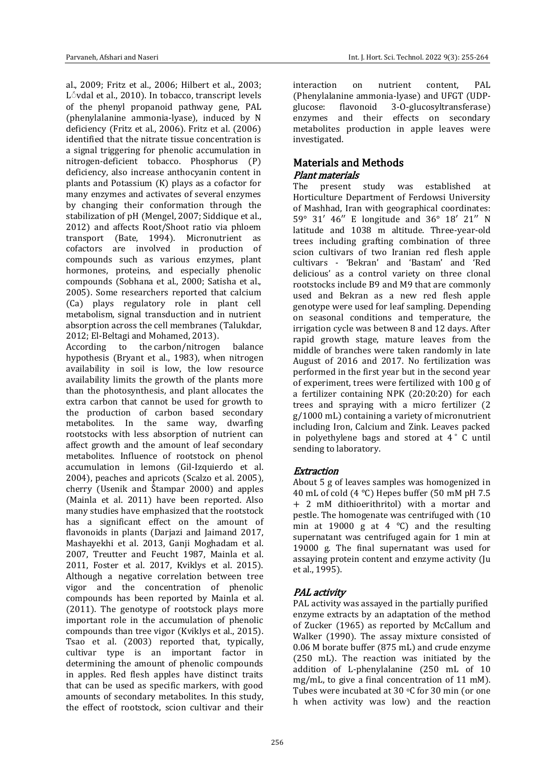al., 2009; Fritz et al., 2006; Hilbert et al., 2003; L<sup>o</sup>vdal et al., 2010). In tobacco, transcript levels of the phenyl propanoid pathway gene, PAL (phenylalanine ammonia-lyase), induced by N deficiency (Fritz et al., 2006). Fritz et al. (2006) identified that the nitrate tissue concentration is a signal triggering for phenolic accumulation in nitrogen-deficient tobacco. Phosphorus (P) deficiency, also increase anthocyanin content in plants and Potassium (K) plays as a cofactor for many enzymes and activates of several enzymes by changing their conformation through the stabilization of pH (Mengel, 2007; Siddique et al., 2012) and affects Root/Shoot ratio via phloem transport (Bate, 1994). Micronutrient as cofactors are involved in production of compounds such as various enzymes, plant hormones, proteins, and especially phenolic compounds (Sobhana et al., 2000; Satisha et al., 2005). Some researchers reported that calcium (Ca) plays regulatory role in plant cell metabolism, signal transduction and in nutrient absorption across the cell membranes (Talukdar, 2012; El-Beltagi and Mohamed, 2013).

According to the carbon/nitrogen balance hypothesis (Bryant et al., 1983), when nitrogen availability in soil is low, the low resource availability limits the growth of the plants more than the photosynthesis, and plant allocates the extra carbon that cannot be used for growth to the production of carbon based secondary metabolites. In the same way, dwarfing rootstocks with less absorption of nutrient can affect growth and the amount of leaf secondary metabolites. Influence of rootstock on phenol accumulation in lemons (Gil-Izquierdo et al. 2004), peaches and apricots (Scalzo et al. 2005), cherry (Usenik and Štampar 2000) and apples (Mainla et al. 2011) have been reported. Also many studies have emphasized that the rootstock has a significant effect on the amount of flavonoids in plants (Darjazi and Jaimand 2017, Mashayekhi et al. 2013, Ganji Moghadam et al. 2007, Treutter and Feucht 1987, Mainla et al. 2011, Foster et al. 2017, Kviklys et al. 2015). Although a negative correlation between tree vigor and the concentration of phenolic compounds has been reported by Mainla et al. (2011). The genotype of rootstock plays more important role in the accumulation of phenolic compounds than tree vigor (Kviklys et al., 2015). Tsao et al. (2003) reported that, typically, cultivar type is an important factor in determining the amount of phenolic compounds in apples. Red flesh apples have distinct traits that can be used as specific markers, with good amounts of secondary metabolites. In this study, the effect of rootstock, scion cultivar and their

interaction on nutrient content, PAL (Phenylalanine ammonia-lyase) and UFGT (UDPglucose: flavonoid 3-O-glucosyltransferase) enzymes and their effects on secondary metabolites production in apple leaves were investigated.

# Materials and Methods Plant materials

The present study was established at Horticulture Department of Ferdowsi University of Mashhad, Iran with geographical coordinates: 59° 31′ 46′′ E longitude and 36° 18′ 21′′ N latitude and 1038 m altitude. Three-year-old trees including grafting combination of three scion cultivars of two Iranian red flesh apple cultivars - 'Bekran' and 'Bastam' and 'Red delicious' as a control variety on three clonal rootstocks include B9 and M9 that are commonly used and Bekran as a new red flesh apple genotype were used for leaf sampling. Depending on seasonal conditions and temperature, the irrigation cycle was between 8 and 12 days. After rapid growth stage, mature leaves from the middle of branches were taken randomly in late August of 2016 and 2017. No fertilization was performed in the first year but in the second year of experiment, trees were fertilized with 100 g of a fertilizer containing NPK (20:20:20) for each trees and spraying with a micro fertilizer (2  $g/1000$  mL) containing a variety of micronutrient including Iron, Calcium and Zink. Leaves packed in polyethylene bags and stored at  $4°$  C until sending to laboratory.

# **Extraction**

About 5 g of leaves samples was homogenized in 40 mL of cold (4 °C) Hepes buffer (50 mM pH 7.5 + 2 mM dithioerithritol) with a mortar and pestle. The homogenate was centrifuged with (10 min at 19000 g at 4  $^{\circ}$ C) and the resulting supernatant was centrifuged again for 1 min at 19000 g. The final supernatant was used for assaying protein content and enzyme activity (Ju et al., 1995).

# PAL activity

PAL activity was assayed in the partially purified enzyme extracts by an adaptation of the method of Zucker (1965) as reported by McCallum and Walker (1990). The assay mixture consisted of 0.06 M borate buffer (875 mL) and crude enzyme (250 mL). The reaction was initiated by the addition of L-phenylalanine (250 mL of 10 mg/mL, to give a final concentration of 11 mM). Tubes were incubated at 30  $\circ$ C for 30 min (or one h when activity was low) and the reaction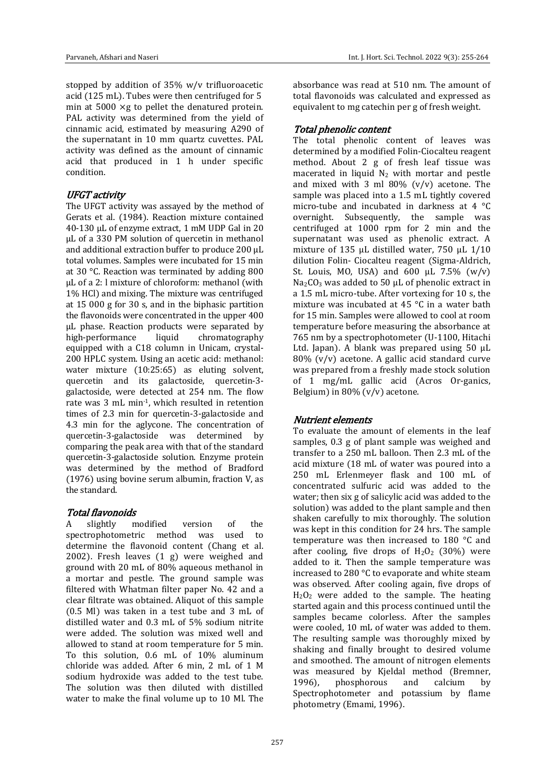stopped by addition of 35% w/v trifluoroacetic acid (125 mL). Tubes were then centrifuged for 5 min at 5000 ×g to pellet the denatured protein. PAL activity was determined from the yield of cinnamic acid, estimated by measuring A290 of the supernatant in 10 mm quartz cuvettes. PAL activity was defined as the amount of cinnamic acid that produced in 1 h under specific condition.

### UFGT activity

The UFGT activity was assayed by the method of Gerats et al. (1984). Reaction mixture contained 40-130 µL of enzyme extract, 1 mM UDP Gal in 20 µL of a 330 PM solution of quercetin in methanol and additional extraction buffer to produce 200 µL total volumes. Samples were incubated for 15 min at 30 °C. Reaction was terminated by adding 800 µL of a 2: l mixture of chloroform: methanol (with 1% HCl) and mixing. The mixture was centrifuged at 15 000 g for 30 s, and in the biphasic partition the flavonoids were concentrated in the upper 400 µL phase. Reaction products were separated by high-performance liquid chromatography equipped with a C18 column in Unicam, crystal-200 HPLC system. Using an acetic acid: methanol: water mixture (10:25:65) as eluting solvent, quercetin and its galactoside, quercetin-3 galactoside, were detected at 254 nm. The flow rate was 3 mL min-1, which resulted in retention times of 2.3 min for quercetin-3-galactoside and 4.3 min for the aglycone. The concentration of quercetin-3-galactoside was determined by comparing the peak area with that of the standard quercetin-3-galactoside solution. Enzyme protein was determined by the method of Bradford (1976) using bovine serum albumin, fraction V, as the standard.

### Total flavonoids

A slightly modified version of the spectrophotometric method was used to determine the flavonoid content (Chang et al. 2002). Fresh leaves (1 g) were weighed and ground with 20 mL of 80% aqueous methanol in a mortar and pestle. The ground sample was filtered with Whatman filter paper No. 42 and a clear filtrate was obtained. Aliquot of this sample (0.5 Ml) was taken in a test tube and 3 mL of distilled water and 0.3 mL of 5% sodium nitrite were added. The solution was mixed well and allowed to stand at room temperature for 5 min. To this solution, 0.6 mL of 10% aluminum chloride was added. After 6 min, 2 mL of 1 M sodium hydroxide was added to the test tube. The solution was then diluted with distilled water to make the final volume up to 10 Ml. The absorbance was read at 510 nm. The amount of total flavonoids was calculated and expressed as equivalent to mg catechin per g of fresh weight.

## Total phenolic content

The total phenolic content of leaves was determined by a modified Folin-Ciocalteu reagent method. About 2 g of fresh leaf tissue was macerated in liquid  $N_2$  with mortar and pestle and mixed with 3 ml  $80\%$  (v/v) acetone. The sample was placed into a 1.5 mL tightly covered micro-tube and incubated in darkness at 4 °C overnight. Subsequently, the sample was centrifuged at 1000 rpm for 2 min and the supernatant was used as phenolic extract. A mixture of 135 μL distilled water, 750 μL 1/10 dilution Folin- Ciocalteu reagent (Sigma-Aldrich, St. Louis, MO, USA) and  $600 \mu L$  7.5% (w/v)  $Na<sub>2</sub>CO<sub>3</sub>$  was added to 50  $\mu$ L of phenolic extract in a 1.5 mL micro-tube. After vortexing for 10 s, the mixture was incubated at 45 °C in a water bath for 15 min. Samples were allowed to cool at room temperature before measuring the absorbance at 765 nm by a spectrophotometer (U-1100, Hitachi Ltd. Japan). A blank was prepared using 50 μL 80% (v/v) acetone. A gallic acid standard curve was prepared from a freshly made stock solution of 1 mg/mL gallic acid (Acros Or-ganics, Belgium) in  $80\%$  (v/v) acetone.

# Nutrient elements

To evaluate the amount of elements in the leaf samples, 0.3 g of plant sample was weighed and transfer to a 250 mL balloon. Then 2.3 mL of the acid mixture (18 mL of water was poured into a 250 mL Erlenmeyer flask and 100 mL of concentrated sulfuric acid was added to the water; then six g of salicylic acid was added to the solution) was added to the plant sample and then shaken carefully to mix thoroughly. The solution was kept in this condition for 24 hrs. The sample temperature was then increased to 180 °C and after cooling, five drops of  $H_2O_2$  (30%) were added to it. Then the sample temperature was increased to 280 °C to evaporate and white steam was observed. After cooling again, five drops of  $H<sub>2</sub>O<sub>2</sub>$  were added to the sample. The heating started again and this process continued until the samples became colorless. After the samples were cooled, 10 mL of water was added to them. The resulting sample was thoroughly mixed by shaking and finally brought to desired volume and smoothed. The amount of nitrogen elements was measured by Kjeldal method (Bremner, 1996), phosphorous and calcium by Spectrophotometer and potassium by flame photometry (Emami, 1996).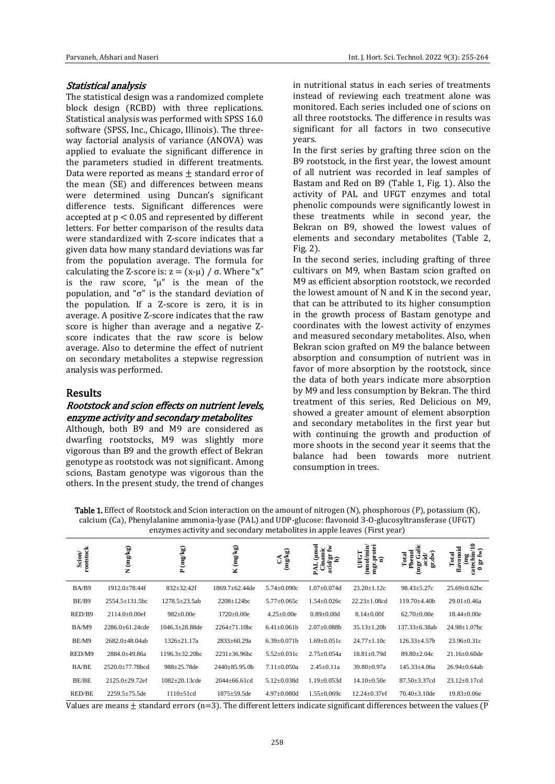#### Statistical analysis

The statistical design was a randomized complete block design (RCBD) with three replications. Statistical analysis was performed with SPSS 16.0 software (SPSS, Inc., Chicago, Illinois). The threeway factorial analysis of variance (ANOVA) was applied to evaluate the significant difference in the parameters studied in different treatments. Data were reported as means  $\pm$  standard error of the mean (SE) and differences between means were determined using Duncan's significant difference tests. Significant differences were accepted at  $p < 0.05$  and represented by different letters. For better comparison of the results data were standardized with Z-score indicates that a given data how many standard deviations was far from the population average. The formula for calculating the Z-score is:  $z = (x-u) / \sigma$ . Where "x" is the raw score, " $\mu$ " is the mean of the population, and "σ" is the standard deviation of the population. If a Z-score is zero, it is in average. A positive Z-score indicates that the raw score is higher than average and a negative Zscore indicates that the raw score is below average. Also to determine the effect of nutrient on secondary metabolites a stepwise regression analysis was performed.

### Results

#### Rootstock and scion effects on nutrient levels, enzyme activity and secondary metabolites

Although, both B9 and M9 are considered as dwarfing rootstocks, M9 was slightly more vigorous than B9 and the growth effect of Bekran genotype as rootstock was not significant. Among scions, Bastam genotype was vigorous than the others. In the present study, the trend of changes

in nutritional status in each series of treatments instead of reviewing each treatment alone was monitored. Each series included one of scions on all three rootstocks. The difference in results was significant for all factors in two consecutive years.

In the first series by grafting three scion on the B9 rootstock, in the first year, the lowest amount of all nutrient was recorded in leaf samples of Bastam and Red on B9 (Table 1, Fig. 1). Also the activity of PAL and UFGT enzymes and total phenolic compounds were significantly lowest in these treatments while in second year, the Bekran on B9, showed the lowest values of elements and secondary metabolites (Table 2, Fig. 2).

In the second series, including grafting of three cultivars on M9, when Bastam scion grafted on M9 as efficient absorption rootstock, we recorded the lowest amount of N and K in the second year, that can be attributed to its higher consumption in the growth process of Bastam genotype and coordinates with the lowest activity of enzymes and measured secondary metabolites. Also, when Bekran scion grafted on M9 the balance between absorption and consumption of nutrient was in favor of more absorption by the rootstock, since the data of both years indicate more absorption by M9 and less consumption by Bekran. The third treatment of this series, Red Delicious on M9, showed a greater amount of element absorption and secondary metabolites in the first year but with continuing the growth and production of more shoots in the second year it seems that the balance had been towards more nutrient consumption in trees.

Table 1. Effect of Rootstock and Scion interaction on the amount of nitrogen (N), phosphorous (P), potassium (K), calcium (Ca), Phenylalanine ammonia-lyase (PAL) and UDP-glucose: flavonoid 3-O-glucosyltransferase (UFGT) enzymes activity and secondary metabolites in apple leaves (First year)

| rootstock<br>Scion | $({\bf m} g / {\bf k} g)$<br>Z | P (mg/kg)             | K (mg/kg)             | $({\bf m} {\bf g}/{\bf k} {\bf g})$<br>$\mathcal{L}$ | oum)<br>Ł<br>Cinamic<br>ä<br>ដូ | mgr.protei<br>(mmol/min)<br>UFGI<br>Ξ | Galic<br>Phenol<br>gr.dw)<br>菌<br>ਰੋ<br>(mgr | n<br>E<br>vonoid<br>E)<br>Total<br>Ë<br>catech<br>品<br>£<br>0 |
|--------------------|--------------------------------|-----------------------|-----------------------|------------------------------------------------------|---------------------------------|---------------------------------------|----------------------------------------------|---------------------------------------------------------------|
| BA/B9              | $1912.0 \pm 78.44$ f           | $832 \pm 32.42f$      | $1869.7 \pm 62.44$ de | $5.74 \pm 0.090c$                                    | $1.07 \pm 0.074$ d              | $23.20 \pm 1.12c$                     | $98.43 \pm 5.27c$                            | $25.69 \pm 0.62$ bc                                           |
| BE/B9              | $2554.5 \pm 131.5$ bc          | $1278.5 \pm 23.5ab$   | $2208 \pm 124$ bc     | $5.77 \pm 0.065c$                                    | $1.54 \pm 0.026c$               | $22.23 \pm 1.08$ cd                   | $119.70 + 4.40h$                             | $29.01 \pm 0.46a$                                             |
| RED/B9             | $2114.0\pm0.00$ ef             | $982 \pm 0.00e$       | $1720 \pm 0.00e$      | $4.25 \pm 0.00e$                                     | $0.89 \pm 0.001$                | $8.14 \pm 0.00$ f                     | $62.70 \pm 0.00e$                            | $18.44 \pm 0.00e$                                             |
| BA/M9              | $2286.0 \pm 61.24$ cde         | $1046.3 \pm 28.88$ de | $2264 \pm 71.10$ bc   | $6.41 \pm 0.061$                                     | $2.07 \pm 0.088b$               | $35.13 \pm 1.20b$                     | 137.33±6.38ab                                | $24.98 \pm 1.07$ bc                                           |
| BE/M9              | $2682.0 \pm 48.04ab$           | $1326 \pm 21.17a$     | $2833 \pm 60.29a$     | $6.39 \pm 0.071$ b                                   | $1.69 \pm 0.051c$               | $24.77 \pm 1.10c$                     | $126.33 \pm 4.57 b$                          | $23.96 \pm 0.31c$                                             |
| RED/M9             | 2884.0±49.86a                  | $1196.3 \pm 32.20$ bc | $2231 \pm 36.96$ bc   | $5.52 \pm 0.031c$                                    | $2.75 \pm 0.054a$               | $18.81 \pm 0.79d$                     | $89.80 \pm 2.04c$                            | $21.16 \pm 0.60$ de                                           |
| <b>BA/BE</b>       | $2520.0 \pm 77.78$ bcd         | $988 \pm 25.78$ de    | $2440 \pm 85.95.0 b$  | $7.11 \pm 0.050a$                                    | $2.45 \pm 0.11a$                | $39.80 \pm 0.97a$                     | $145.33 \pm 4.06a$                           | $26.94 \pm 0.64$ ab                                           |
| BE/BE              | $2125.0 \pm 29.72$ ef          | $1082 \pm 20.13$ cde  | $2044 \pm 66.61$ cd   | $5.12 \pm 0.038$ d                                   | $1.19 \pm 0.053$ d              | $14.10\pm0.50e$                       | $87.50 \pm 3.37$ cd                          | $23.12 \pm 0.17$ cd                                           |
| RED/BE             | $2259.5 \pm 75.5$ de           | $1110 \pm 51cd$       | $1875 \pm 59.5$ de    | $4.97 \pm 0.080$ d                                   | $1.55 \pm 0.069c$               | $12.24 + 0.37$ ef                     | $70.40 + 3.10$ de                            | $19.83 \pm 0.06e$                                             |

Values are means  $\pm$  standard errors (n=3). The different letters indicate significant differences between the values (P)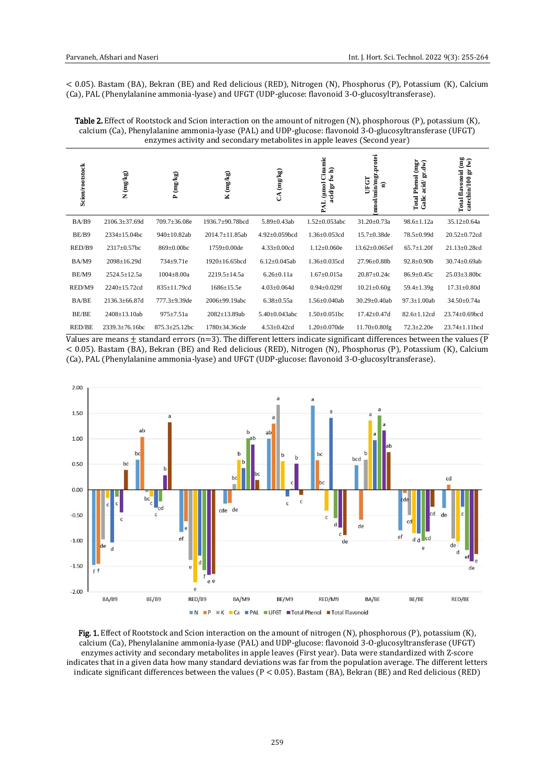< 0.05). Bastam (BA), Bekran (BE) and Red delicious (RED), Nitrogen (N), Phosphorus (P), Potassium (K), Calcium (Ca), PAL (Phenylalanine ammonia-lyase) and UFGT (UDP-glucose: flavonoid 3-O-glucosyltransferase).

Table 2. Effect of Rootstock and Scion interaction on the amount of nitrogen (N), phosphorous (P), potassium (K), calcium (Ca), Phenylalanine ammonia-lyase (PAL) and UDP-glucose: flavonoid 3-O-glucosyltransferase (UFGT) enzymes activity and secondary metabolites in apple leaves (Second year)

| <b>Scion/rootstock</b> | N (mg/kg)             | P (mg/kg)            | K (mg/kg)            | (mg/kg)<br>S         | PAL (µmol Cinamic<br>acid/gr fw h) | nmol/min/mgr.protei<br>UFGT<br>ទ | <b>Total Phenol</b> (mgr<br>gr.dw)<br>acid<br>Galic | Total flavonoid (mg<br>$\widehat{\mathbf{F}}$<br>catechin/100 gr |
|------------------------|-----------------------|----------------------|----------------------|----------------------|------------------------------------|----------------------------------|-----------------------------------------------------|------------------------------------------------------------------|
| BA/B9                  | 2106.3±37.69d         | 709.7±36.08e         | 1936.7±90.78bcd      | 5.89±0.43ab          | $1.52 \pm 0.053$ abc               | 31.20±0.73a                      | $98.6 \pm 1.12a$                                    | 35.12±0.64a                                                      |
| BE/B9                  | $2334 \pm 15.04$ bc   | 940±10.82ab          | 2014.7±11.85ab       | $4.92 \pm 0.059$ bcd | $1.36 \pm 0.053$ cd                | $15.7 \pm 0.38$ de               | 78.5±0.99d                                          | $20.52 \pm 0.72$ cd                                              |
| RED/B9                 | $2317 \pm 0.57$ bc    | 869±0.00bc           | $1759 \pm 0.00$ de   | $4.33 \pm 0.00$ cd   | $1.12 \pm 0.060e$                  | $13.62 \pm 0.065$ ef             | $65.7 \pm 1.20$ f                                   | $21.13 \pm 0.28$ cd                                              |
| BA/M9                  | $2098 \pm 16.29d$     | 734±9.71e            | $1920 \pm 16.65$ bcd | $6.12 \pm 0.045$ ab  | $1.36 \pm 0.035$ cd                | 27.96±0.88b                      | $92.8 \pm 0.90$                                     | 30.74±0.69ab                                                     |
| BE/M9                  | $2524.5 \pm 12.5a$    | $1004 \pm 8.00a$     | 2219.5±14.5a         | $6.26 \pm 0.11a$     | $1.67 \pm 0.015a$                  | 20.87±0.24c                      | 86.9±0.45c                                          | $25.03 \pm 3.80$ bc                                              |
| RED/M9                 | 2240±15.72cd          | 835±11.79cd          | $1686 \pm 15.5e$     | $4.03 \pm 0.064$ d   | $0.94 \pm 0.029$ f                 | $10.21 \pm 0.60$ g               | 59.4±1.39g                                          | $17.31 \pm 0.80$ d                                               |
| <b>BA/BE</b>           | $2136.3 \pm 66.87$ d  | $777.3 \pm 9.39$ de  | $2006 \pm 99.19$ abc | $6.38 \pm 0.55a$     | $1.56 \pm 0.040$ ab                | $30.29 \pm 0.40$ ab              | $97.3 \pm 1.00$ ab                                  | $34.50 \pm 0.74a$                                                |
| BE/BE                  | 2408±13.10ab          | $975 \pm 7.51a$      | 2082±13.89ab         | $5.40 \pm 0.043$ abc | $1.50 \pm 0.051$ bc                | $17.42 \pm 0.47$ d               | $82.6 \pm 1.12$ cd                                  | 23.74±0.69bcd                                                    |
| <b>RED/BE</b>          | $2339.3 \pm 76.16$ bc | $875.3 \pm 25.12$ bc | $1780 \pm 34.36$ cde | $4.53 \pm 0.42$ cd   | $1.20 \pm 0.070$ de                | $11.70 \pm 0.80$ fg              | $72.3 \pm 2.20e$                                    | $23.74 \pm 1.11$ bcd                                             |

Values are means  $\pm$  standard errors (n=3). The different letters indicate significant differences between the values (P < 0.05). Bastam (BA), Bekran (BE) and Red delicious (RED), Nitrogen (N), Phosphorus (P), Potassium (K), Calcium (Ca), PAL (Phenylalanine ammonia-lyase) and UFGT (UDP-glucose: flavonoid 3-O-glucosyltransferase).



Fig. 1. Effect of Rootstock and Scion interaction on the amount of nitrogen (N), phosphorous (P), potassium (K), calcium (Ca), Phenylalanine ammonia-lyase (PAL) and UDP-glucose: flavonoid 3-O-glucosyltransferase (UFGT) enzymes activity and secondary metabolites in apple leaves (First year). Data were standardized with Z-score indicates that in a given data how many standard deviations was far from the population average. The different letters indicate significant differences between the values (P < 0.05). Bastam (BA), Bekran (BE) and Red delicious (RED)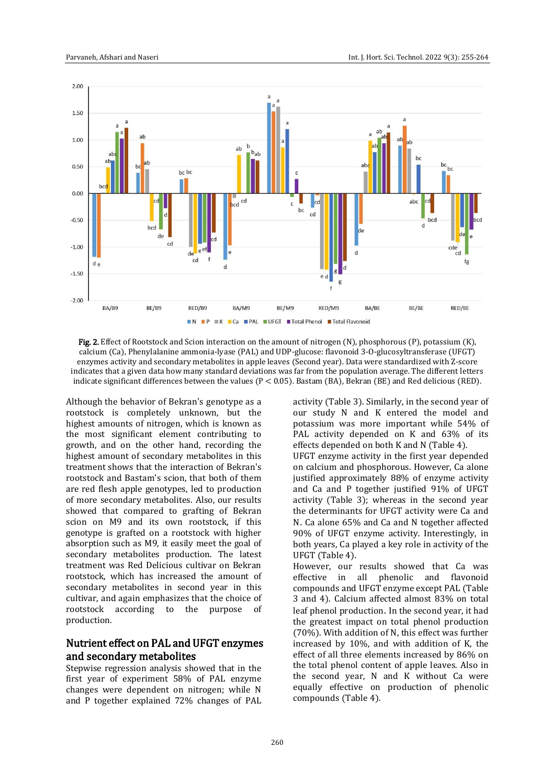



Although the behavior of Bekran's genotype as a rootstock is completely unknown, but the highest amounts of nitrogen, which is known as the most significant element contributing to growth, and on the other hand, recording the highest amount of secondary metabolites in this treatment shows that the interaction of Bekran's rootstock and Bastam's scion, that both of them are red flesh apple genotypes, led to production of more secondary metabolites. Also, our results showed that compared to grafting of Bekran scion on M9 and its own rootstock, if this genotype is grafted on a rootstock with higher absorption such as M9, it easily meet the goal of secondary metabolites production. The latest treatment was Red Delicious cultivar on Bekran rootstock, which has increased the amount of secondary metabolites in second year in this cultivar, and again emphasizes that the choice of rootstock according to the purpose of production.

# Nutrient effect on PAL and UFGT enzymes and secondary metabolites

Stepwise regression analysis showed that in the first year of experiment 58% of PAL enzyme changes were dependent on nitrogen; while N and P together explained 72% changes of PAL activity (Table 3). Similarly, in the second year of our study N and K entered the model and potassium was more important while 54% of PAL activity depended on K and 63% of its effects depended on both K and N (Table 4). UFGT enzyme activity in the first year depended on calcium and phosphorous. However, Ca alone justified approximately 88% of enzyme activity and Ca and P together justified 91% of UFGT activity (Table 3); whereas in the second year the determinants for UFGT activity were Ca and N. Ca alone 65% and Ca and N together affected 90% of UFGT enzyme activity. Interestingly, in both years, Ca played a key role in activity of the UFGT (Table 4).

However, our results showed that Ca was effective in all phenolic and flavonoid compounds and UFGT enzyme except PAL (Table 3 and 4). Calcium affected almost 83% on total leaf phenol production. In the second year, it had the greatest impact on total phenol production (70%). With addition of N, this effect was further increased by 10%, and with addition of K, the effect of all three elements increased by 86% on the total phenol content of apple leaves. Also in the second year, N and K without Ca were equally effective on production of phenolic compounds (Table 4).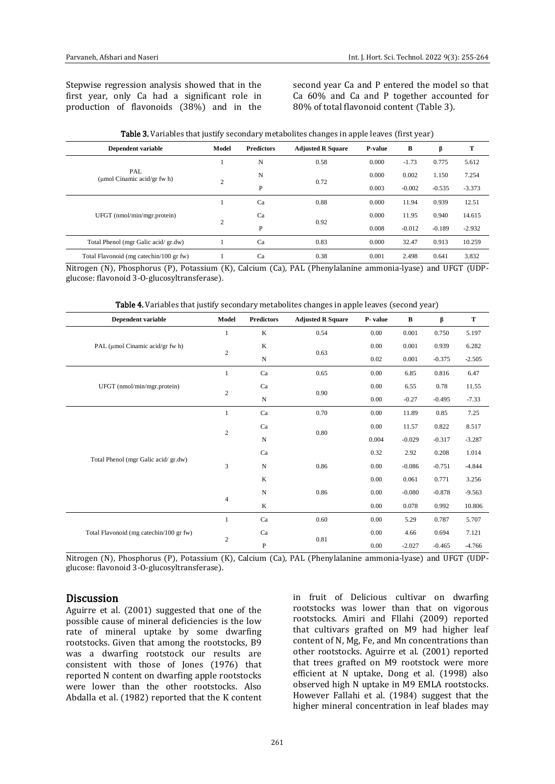Stepwise regression analysis showed that in the first year, only Ca had a significant role in production of flavonoids (38%) and in the second year Ca and P entered the model so that Ca 60% and Ca and P together accounted for 80% of total flavonoid content (Table 3).

| Dependent variable                      | Model          | <b>Predictors</b> | <b>Adjusted R Square</b> | P-value | B        | β        | т        |
|-----------------------------------------|----------------|-------------------|--------------------------|---------|----------|----------|----------|
|                                         |                | N                 | 0.58                     | 0.000   | $-1.73$  | 0.775    | 5.612    |
| PAL<br>(umol Cinamic acid/gr fw $h$ )   | $\overline{2}$ | N                 | 0.72                     | 0.000   | 0.002    | 1.150    | 7.254    |
|                                         |                | P                 |                          | 0.003   | $-0.002$ | $-0.535$ | $-3.373$ |
|                                         |                | Ca                | 0.88                     | 0.000   | 11.94    | 0.939    | 12.51    |
| UFGT (nmol/min/mgr.protein)             | $\overline{2}$ | Ca                | 0.92                     | 0.000   | 11.95    | 0.940    | 14.615   |
|                                         |                | P                 |                          | 0.008   | $-0.012$ | $-0.189$ | $-2.932$ |
| Total Phenol (mgr Galic acid/gr.dw)     |                | Ca                | 0.83                     | 0.000   | 32.47    | 0.913    | 10.259   |
| Total Flavonoid (mg catechin/100 gr fw) |                | Ca                | 0.38                     | 0.001   | 2.498    | 0.641    | 3.832    |

| <b>Table 3.</b> Variables that justify secondary metabolites changes in apple leaves (first year) |  |  |  |
|---------------------------------------------------------------------------------------------------|--|--|--|
|---------------------------------------------------------------------------------------------------|--|--|--|

Nitrogen (N), Phosphorus (P), Potassium (K), Calcium (Ca), PAL (Phenylalanine ammonia-lyase) and UFGT (UDPglucose: flavonoid 3-O-glucosyltransferase).

|  |  |  | Table 4. Variables that justify secondary metabolites changes in apple leaves (second year) |  |
|--|--|--|---------------------------------------------------------------------------------------------|--|
|--|--|--|---------------------------------------------------------------------------------------------|--|

| <b>Dependent variable</b>               | Model          | <b>Predictors</b> | <b>Adjusted R Square</b> | P- value | $\, {\bf B}$ | β        | T        |
|-----------------------------------------|----------------|-------------------|--------------------------|----------|--------------|----------|----------|
|                                         | 1              | $\bf K$           | 0.54                     | 0.00     | 0.001        | 0.750    | 5.197    |
| PAL (µmol Cinamic acid/gr fw h)         | $\sqrt{2}$     | K                 | 0.63                     | 0.00     | 0.001        | 0.939    | 6.282    |
|                                         |                | $\mathbf N$       |                          | 0.02     | 0.001        | $-0.375$ | $-2.505$ |
|                                         | $\mathbf{1}$   | Ca                | 0.65                     | 0.00     | 6.85         | 0.816    | 6.47     |
| UFGT (nmol/min/mgr.protein)             |                | Ca                | 0.90                     | 0.00     | 6.55         | 0.78     | 11.55    |
|                                         | $\overline{c}$ | ${\bf N}$         |                          | 0.00     | $-0.27$      | $-0.495$ | $-7.33$  |
|                                         | 1              | Ca                | 0.70                     | 0.00     | 11.89        | 0.85     | 7.25     |
|                                         |                | Ca                | 0.80                     | 0.00     | 11.57        | 0.822    | 8.517    |
|                                         | $\sqrt{2}$     | N                 |                          | 0.004    | $-0.029$     | $-0.317$ | $-3.287$ |
|                                         |                | Ca                | 0.86                     | 0.32     | 2.92         | 0.208    | 1.014    |
| Total Phenol (mgr Galic acid/gr.dw)     | 3              | ${\bf N}$         |                          | 0.00     | $-0.086$     | $-0.751$ | $-4.844$ |
|                                         |                | $\mathbf K$       |                          | 0.00     | 0.061        | 0.771    | 3.256    |
|                                         |                | ${\bf N}$         | 0.86                     | 0.00     | $-0.080$     | $-0.878$ | $-9.563$ |
|                                         | $\overline{4}$ | K                 |                          | 0.00     | 0.078        | 0.992    | 10.806   |
|                                         | 1              | Ca                | 0.60                     | 0.00     | 5.29         | 0.787    | 5.707    |
| Total Flavonoid (mg catechin/100 gr fw) | $\overline{c}$ | Ca                | 0.81                     | 0.00     | 4.66         | 0.694    | 7.121    |
|                                         |                | $\mathbf{P}$      |                          | 0.00     | $-2.027$     | $-0.465$ | $-4.766$ |

Nitrogen (N), Phosphorus (P), Potassium (K), Calcium (Ca), PAL (Phenylalanine ammonia-lyase) and UFGT (UDPglucose: flavonoid 3-O-glucosyltransferase).

#### Discussion

Aguirre et al. (2001) suggested that one of the possible cause of mineral deficiencies is the low rate of mineral uptake by some dwarfing rootstocks. Given that among the rootstocks, B9 was a dwarfing rootstock our results are consistent with those of Jones (1976) that reported N content on dwarfing apple rootstocks were lower than the other rootstocks. Also Abdalla et al. (1982) reported that the K content

in fruit of Delicious cultivar on dwarfing rootstocks was lower than that on vigorous rootstocks. Amiri and Fllahi (2009) reported that cultivars grafted on M9 had higher leaf content of N, Mg, Fe, and Mn concentrations than other rootstocks. Aguirre et al. (2001) reported that trees grafted on M9 rootstock were more efficient at N uptake, Dong et al. (1998) also observed high N uptake in M9 EMLA rootstocks. However Fallahi et al. (1984) suggest that the higher mineral concentration in leaf blades may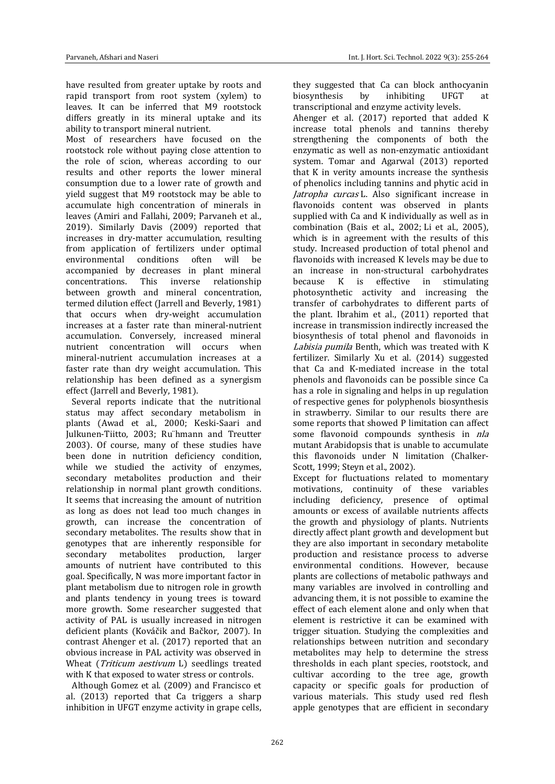have resulted from greater uptake by roots and rapid transport from root system (xylem) to leaves. It can be inferred that M9 rootstock differs greatly in its mineral uptake and its ability to transport mineral nutrient.

Most of researchers have focused on the rootstock role without paying close attention to the role of scion, whereas according to our results and other reports the lower mineral consumption due to a lower rate of growth and yield suggest that M9 rootstock may be able to accumulate high concentration of minerals in leaves (Amiri and Fallahi, 2009; Parvaneh et al., 2019). Similarly Davis (2009) reported that increases in dry-matter accumulation, resulting from application of fertilizers under optimal environmental conditions often will be accompanied by decreases in plant mineral concentrations. This inverse relationship between growth and mineral concentration, termed dilution effect (Jarrell and Beverly, 1981) that occurs when dry-weight accumulation increases at a faster rate than mineral-nutrient accumulation. Conversely, increased mineral nutrient concentration will occurs when mineral-nutrient accumulation increases at a faster rate than dry weight accumulation. This relationship has been defined as a synergism effect (Jarrell and Beverly, 1981).

 Several reports indicate that the nutritional status may affect secondary metabolism in plants (Awad et al., 2000; Keski-Saari and Julkunen-Tiitto, 2003; Ru¨hmann and Treutter 2003). Of course, many of these studies have been done in nutrition deficiency condition, while we studied the activity of enzymes, secondary metabolites production and their relationship in normal plant growth conditions. It seems that increasing the amount of nutrition as long as does not lead too much changes in growth, can increase the concentration of secondary metabolites. The results show that in genotypes that are inherently responsible for secondary metabolites production, larger amounts of nutrient have contributed to this goal. Specifically, N was more important factor in plant metabolism due to nitrogen role in growth and plants tendency in young trees is toward more growth. Some researcher suggested that activity of PAL is usually increased in nitrogen deficient plants (Kováčik and Bačkor, 2007). In contrast Ahenger et al. (2017) reported that an obvious increase in PAL activity was observed in Wheat (*Triticum aestivum* L) seedlings treated with K that exposed to water stress or controls.

 Although Gomez et al. (2009) and Francisco et al. (2013) reported that Ca triggers a sharp inhibition in UFGT enzyme activity in grape cells, they suggested that Ca can block anthocyanin biosynthesis by inhibiting UFGT at transcriptional and enzyme activity levels.

Ahenger et al. (2017) reported that added K increase total phenols and tannins thereby strengthening the components of both the enzymatic as well as non-enzymatic antioxidant system. Tomar and Agarwal (2013) reported that K in verity amounts increase the synthesis of phenolics including tannins and phytic acid in Jatropha curcas L. Also significant increase in flavonoids content was observed in plants supplied with Ca and K individually as well as in combination (Bais et al., 2002; Li et al., 2005), which is in agreement with the results of this study. Increased production of total phenol and flavonoids with increased K levels may be due to an increase in non-structural carbohydrates because K is effective in stimulating photosynthetic activity and increasing the transfer of carbohydrates to different parts of the plant. Ibrahim et al., (2011) reported that increase in transmission indirectly increased the biosynthesis of total phenol and flavonoids in Labisia pumila Benth, which was treated with K fertilizer. Similarly Xu et al. (2014) suggested that Ca and K-mediated increase in the total phenols and flavonoids can be possible since Ca has a role in signaling and helps in up regulation of respective genes for polyphenols biosynthesis in strawberry. Similar to our results there are some reports that showed P limitation can affect some flavonoid compounds synthesis in *nla* mutant Arabidopsis that is unable to accumulate this flavonoids under N limitation (Chalker-Scott, 1999; Steyn et al., 2002).

Except for fluctuations related to momentary motivations, continuity of these variables including deficiency, presence of optimal amounts or excess of available nutrients affects the growth and physiology of plants. Nutrients directly affect plant growth and development but they are also important in secondary metabolite production and resistance process to adverse environmental conditions. However, because plants are collections of metabolic pathways and many variables are involved in controlling and advancing them, it is not possible to examine the effect of each element alone and only when that element is restrictive it can be examined with trigger situation. Studying the complexities and relationships between nutrition and secondary metabolites may help to determine the stress thresholds in each plant species, rootstock, and cultivar according to the tree age, growth capacity or specific goals for production of various materials. This study used red flesh apple genotypes that are efficient in secondary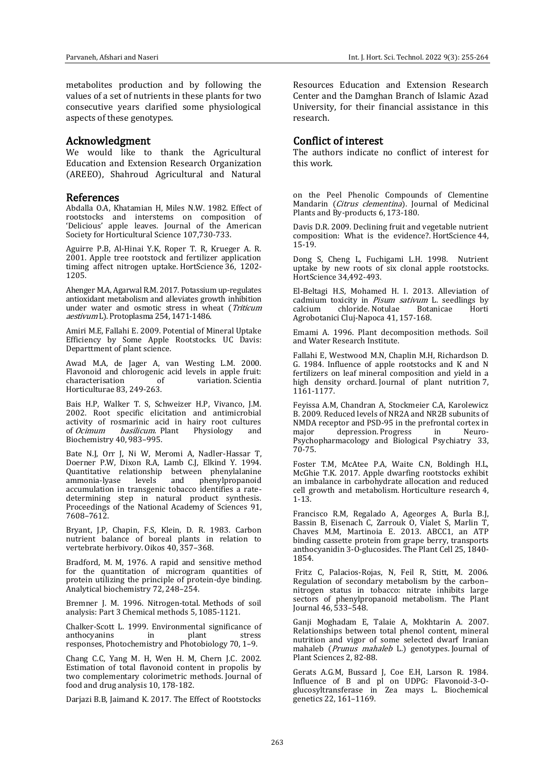metabolites production and by following the values of a set of nutrients in these plants for two consecutive years clarified some physiological aspects of these genotypes.

#### Acknowledgment

We would like to thank the Agricultural Education and Extension Research Organization (AREEO), Shahroud Agricultural and Natural

#### References

Abdalla O.A, Khatamian H, Miles N.W. 1982. Effect of rootstocks and interstems on composition of 'Delicious' apple leaves. Journal of the American Society for Horticultural Science 107,730-733.

Aguirre P.B, Al-Hinai Y.K, Roper T. R, Krueger A. R. 2001. Apple tree rootstock and fertilizer application timing affect nitrogen uptake. HortScience 36, 1202- 1205.

Ahenger M.A, Agarwal R.M. 2017. Potassium up-regulates antioxidant metabolism and alleviates growth inhibition under water and osmotic stress in wheat (Triticum aestivum L). Protoplasma 254, 1471-1486.

Amiri M.E, Fallahi E. 2009. Potential of Mineral Uptake Efficiency by Some Apple Rootstocks. UC Davis: Departtment of plant science.

Awad M.A, de Jager A, van Westing L.M. 2000. Flavonoid and chlorogenic acid levels in apple fruit: variation. Scientia Horticulturae 83, 249-263.

Bais H.P, Walker T. S, Schweizer H.P, Vivanco, J.M. 2002. Root specific elicitation and antimicrobial activity of rosmarinic acid in hairy root cultures of Ocimum basilicum. Plant Physiology and Biochemistry 40, 983–995.

Bate N.J, Orr J, Ni W, Meromi A, Nadler-Hassar T, Doerner P.W, Dixon R.A, Lamb C.J, Elkind Y. 1994. Quantitative relationship between phenylalanine phenylpropanoid accumulation in transgenic tobacco identifies a ratedetermining step in natural product synthesis. Proceedings of the National Academy of Sciences 91, 7608–7612.

Bryant, J.P, Chapin, F.S, Klein, D. R. 1983. Carbon nutrient balance of boreal plants in relation to vertebrate herbivory. Oikos 40, 357–368.

Bradford, M. M, 1976. A rapid and sensitive method for the quantitation of microgram quantities of protein utilizing the principle of protein-dye binding. Analytical biochemistry 72, 248–254.

Bremner J. M. 1996. Nitrogen‐total. Methods of soil analysis: Part 3 Chemical methods 5, 1085-1121.

Chalker-Scott L. 1999. Environmental significance of anthocyanins responses, Photochemistry and Photobiology 70, 1–9.

Chang C.C, Yang M. H, Wen H. M, Chern J.C. 2002. Estimation of total flavonoid content in propolis by two complementary colorimetric methods. Journal of food and drug analysis 10, 178-182.

Darjazi B.B, Jaimand K. 2017. The Effect of Rootstocks

Resources Education and Extension Research Center and the Damghan Branch of Islamic Azad University, for their financial assistance in this research.

#### Conflict of interest

The authors indicate no conflict of interest for this work.

on the Peel Phenolic Compounds of Clementine Mandarin (Citrus clementina). Journal of Medicinal Plants and By-products 6, 173-180.

Davis D.R. 2009. Declining fruit and vegetable nutrient composition: What is the evidence?. HortScience 44, 15-19.

Dong S, Cheng L, Fuchigami L.H. 1998. Nutrient uptake by new roots of six clonal apple rootstocks. HortScience 34,492-493.

El-Beltagi H.S, Mohamed H. I. 2013. Alleviation of cadmium toxicity in *Pisum sativum* L. seedlings by calcium chloride. Notulae Botanicae Horti chloride. Notulae Agrobotanici Cluj-Napoca 41, 157-168.

Emami A. 1996. Plant decomposition methods. Soil and Water Research Institute.

Fallahi E, Westwood M.N, Chaplin M.H, Richardson D. G. 1984. Influence of apple rootstocks and K and N fertilizers on leaf mineral composition and yield in a high density orchard. Journal of plant nutrition 7, 1161-1177.

Feyissa A.M, Chandran A, Stockmeier C.A, Karolewicz B. 2009. Reduced levels of NR2A and NR2B subunits of NMDA receptor and PSD-95 in the prefrontal cortex in major depression. Progress in Neuro-Psychopharmacology and Biological Psychiatry 33, 70-75.

Foster T.M, McAtee P.A, Waite C.N, Boldingh H.L, McGhie T.K. 2017. Apple dwarfing rootstocks exhibit an imbalance in carbohydrate allocation and reduced cell growth and metabolism. Horticulture research 4, 1-13.

Francisco R.M, Regalado A, Ageorges A, Burla B.J, Bassin B, Eisenach C, Zarrouk O, Vialet S, Marlin T, Chaves M.M, Martinoia E. 2013. ABCC1, an ATP binding cassette protein from grape berry, transports anthocyanidin 3-O-glucosides. The Plant Cell 25, 1840- 1854.

Fritz C, Palacios-Rojas, N, Feil R, Stitt, M. 2006. Regulation of secondary metabolism by the carbon– nitrogen status in tobacco: nitrate inhibits large sectors of phenylpropanoid metabolism. The Plant Journal 46, 533–548.

Ganji Moghadam E, Talaie A, Mokhtarin A. 2007. Relationships between total phenol content, mineral nutrition and vigor of some selected dwarf Iranian mahaleb (*Prunus mahaleb L.*) genotypes. Journal of Plant Sciences 2, 82-88.

Gerats A.G.M, Bussard J, Coe E.H, Larson R. 1984. Influence of B and pl on UDPG: Flavonoid-3-Oglucosyltransferase in Zea mays L. Biochemical genetics 22, 161–1169.